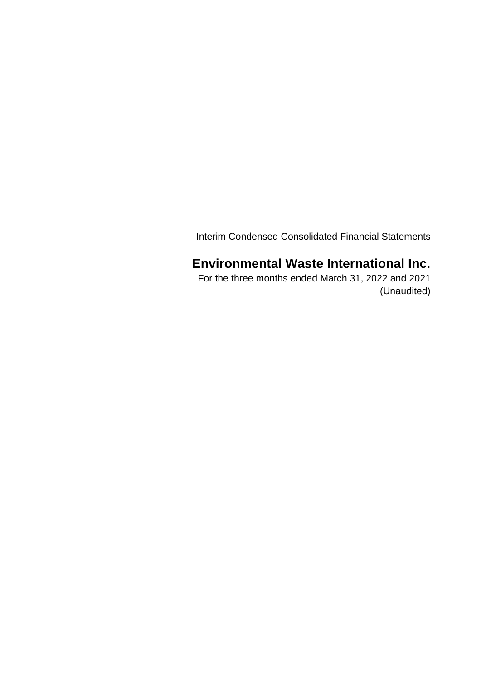Interim Condensed Consolidated Financial Statements

# **Environmental Waste International Inc.**

 For the three months ended March 31, 2022 and 2021 (Unaudited)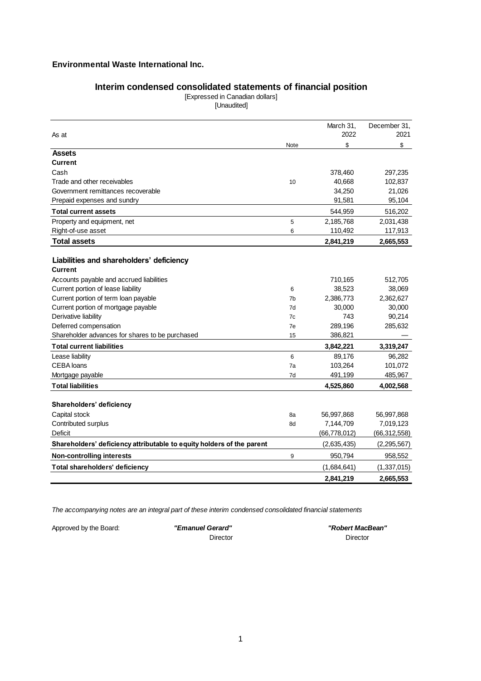# **Interim condensed consolidated statements of financial position**

[Expressed in Canadian dollars] [Unaudited]

|                                                                            |                     | March 31,      | December 31,     |
|----------------------------------------------------------------------------|---------------------|----------------|------------------|
| As at                                                                      |                     | 2022           | 2021             |
|                                                                            | Note                | \$             | \$               |
| <b>Assets</b>                                                              |                     |                |                  |
| <b>Current</b>                                                             |                     |                |                  |
| Cash                                                                       |                     | 378,460        | 297,235          |
| Trade and other receivables                                                | 10                  | 40,668         | 102,837          |
| Government remittances recoverable                                         |                     | 34,250         | 21,026           |
| Prepaid expenses and sundry                                                |                     | 91,581         | 95,104           |
| <b>Total current assets</b>                                                |                     | 544,959        | 516,202          |
| Property and equipment, net                                                | 5                   | 2,185,768      | 2,031,438        |
| Right-of-use asset                                                         | 6                   | 110,492        | 117,913          |
| <b>Total assets</b>                                                        |                     | 2,841,219      | 2,665,553        |
|                                                                            |                     |                |                  |
| Liabilities and shareholders' deficiency<br><b>Current</b>                 |                     |                |                  |
|                                                                            |                     |                |                  |
| Accounts payable and accrued liabilities                                   |                     | 710,165        | 512,705          |
| Current portion of lease liability<br>Current portion of term loan payable | 6<br>7 <sub>b</sub> | 38,523         | 38,069           |
|                                                                            | 7d                  | 2,386,773      | 2,362,627        |
| Current portion of mortgage payable<br>Derivative liability                | 7c                  | 30,000<br>743  | 30,000<br>90,214 |
| Deferred compensation                                                      | 7e                  | 289,196        | 285,632          |
| Shareholder advances for shares to be purchased                            | 15                  | 386,821        |                  |
|                                                                            |                     |                |                  |
| <b>Total current liabilities</b>                                           |                     | 3,842,221      | 3,319,247        |
| Lease liability                                                            | 6                   | 89,176         | 96,282           |
| <b>CEBA</b> loans                                                          | 7a                  | 103,264        | 101,072          |
| Mortgage payable                                                           | 7d                  | 491,199        | 485,967          |
| <b>Total liabilities</b>                                                   |                     | 4,525,860      | 4,002,568        |
| Shareholders' deficiency                                                   |                     |                |                  |
| Capital stock                                                              | 8a                  | 56,997,868     | 56,997,868       |
| Contributed surplus                                                        | 8d                  | 7,144,709      | 7,019,123        |
| Deficit                                                                    |                     | (66, 778, 012) | (66, 312, 558)   |
| Shareholders' deficiency attributable to equity holders of the parent      |                     | (2,635,435)    | (2, 295, 567)    |
| <b>Non-controlling interests</b>                                           | 9                   | 950,794        | 958,552          |
| Total shareholders' deficiency                                             |                     | (1,684,641)    | (1,337,015)      |
|                                                                            |                     | 2.841.219      | 2,665,553        |

*The accompanying notes are an integral part of these interim condensed consolidated financial statements*

Approved by the Board: *"Emanuel Gerard"* 

Director

 *"Robert MacBean"* Director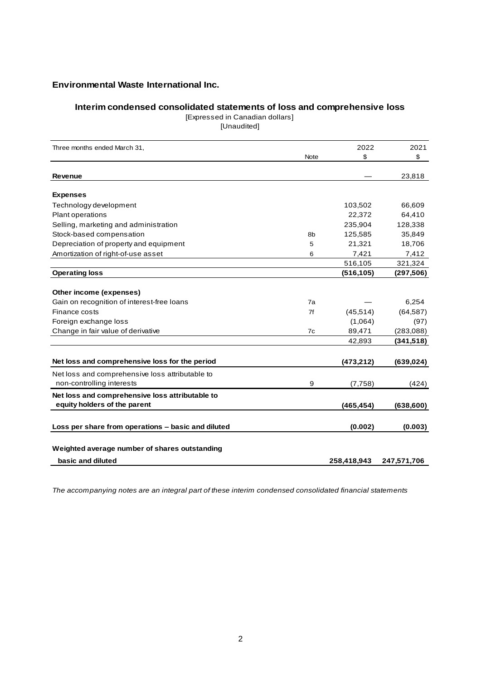## **Interim condensed consolidated statements of loss and comprehensive loss**

[Expressed in Canadian dollars]

[Unaudited]

| Three months ended March 31,                       |             | 2022        | 2021        |
|----------------------------------------------------|-------------|-------------|-------------|
|                                                    | <b>Note</b> | \$          | \$          |
| <b>Revenue</b>                                     |             |             | 23,818      |
|                                                    |             |             |             |
| <b>Expenses</b>                                    |             |             |             |
| Technology development                             |             | 103,502     | 66,609      |
| Plant operations                                   |             | 22,372      | 64,410      |
| Selling, marketing and administration              |             | 235,904     | 128,338     |
| Stock-based compensation                           | 8b          | 125,585     | 35,849      |
| Depreciation of property and equipment             | 5           | 21,321      | 18,706      |
| Amortization of right-of-use asset                 | 6           | 7,421       | 7,412       |
|                                                    |             | 516,105     | 321,324     |
| <b>Operating loss</b>                              |             | (516, 105)  | (297, 506)  |
| Other income (expenses)                            |             |             |             |
| Gain on recognition of interest-free loans         | 7a          |             | 6,254       |
| Finance costs                                      | 7f          | (45, 514)   | (64, 587)   |
| Foreign exchange loss                              |             | (1,064)     | (97)        |
| Change in fair value of derivative                 | 7c          | 89,471      | (283, 088)  |
|                                                    |             | 42,893      | (341, 518)  |
|                                                    |             |             |             |
| Net loss and comprehensive loss for the period     |             | (473, 212)  | (639,024)   |
| Net loss and comprehensive loss attributable to    |             |             |             |
| non-controlling interests                          | 9           | (7,758)     | (424)       |
| Net loss and comprehensive loss attributable to    |             |             |             |
| equity holders of the parent                       |             | (465, 454)  | (638, 600)  |
| Loss per share from operations - basic and diluted |             | (0.002)     | (0.003)     |
|                                                    |             |             |             |
| Weighted average number of shares outstanding      |             |             |             |
| basic and diluted                                  |             | 258,418,943 | 247,571,706 |

*The accompanying notes are an integral part of these interim condensed consolidated financial statements*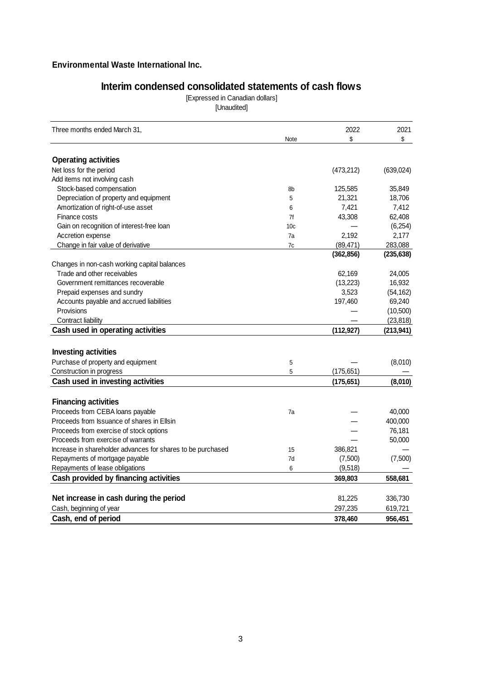# **Interim condensed consolidated statements of cash flows**

[Expressed in Canadian dollars] [Unaudited]

| Three months ended March 31,                                    |                 | 2022       | 2021       |
|-----------------------------------------------------------------|-----------------|------------|------------|
|                                                                 | Note            | \$         | \$         |
| <b>Operating activities</b>                                     |                 |            |            |
| Net loss for the period                                         |                 | (473, 212) | (639, 024) |
| Add items not involving cash                                    |                 |            |            |
| Stock-based compensation                                        | 8b              | 125,585    | 35,849     |
| Depreciation of property and equipment                          | 5               | 21,321     | 18,706     |
| Amortization of right-of-use asset                              | 6               | 7,421      | 7,412      |
| Finance costs                                                   | 7f              | 43,308     | 62,408     |
| Gain on recognition of interest-free loan                       | 10 <sub>c</sub> |            | (6,254)    |
| Accretion expense                                               | 7a              | 2,192      | 2,177      |
| Change in fair value of derivative                              | 7c              | (89, 471)  | 283,088    |
|                                                                 |                 | (362, 856) | (235, 638) |
| Changes in non-cash working capital balances                    |                 |            |            |
| Trade and other receivables                                     |                 | 62,169     | 24,005     |
| Government remittances recoverable                              |                 | (13, 223)  | 16,932     |
| Prepaid expenses and sundry                                     |                 | 3,523      | (54, 162)  |
| Accounts payable and accrued liabilities                        |                 | 197,460    | 69,240     |
| Provisions                                                      |                 |            | (10, 500)  |
| Contract liability                                              |                 |            | (23, 818)  |
| Cash used in operating activities                               |                 | (112, 927) | (213, 941) |
|                                                                 |                 |            |            |
| <b>Investing activities</b>                                     |                 |            |            |
| Purchase of property and equipment                              | 5               |            | (8,010)    |
| Construction in progress                                        | 5               | (175, 651) |            |
| Cash used in investing activities                               |                 | (175, 651) | (8,010)    |
|                                                                 |                 |            |            |
| <b>Financing activities</b><br>Proceeds from CEBA loans payable | 7a              |            | 40,000     |
| Proceeds from Issuance of shares in Ellsin                      |                 |            | 400,000    |
| Proceeds from exercise of stock options                         |                 |            | 76,181     |
| Proceeds from exercise of warrants                              |                 |            | 50,000     |
| Increase in shareholder advances for shares to be purchased     | 15              | 386,821    |            |
| Repayments of mortgage payable                                  | 7d              | (7,500)    | (7,500)    |
| Repayments of lease obligations                                 | 6               | (9, 518)   |            |
|                                                                 |                 |            |            |
| Cash provided by financing activities                           |                 | 369,803    | 558,681    |
| Net increase in cash during the period                          |                 | 81,225     | 336,730    |
| Cash, beginning of year                                         |                 | 297,235    | 619,721    |
| Cash, end of period                                             |                 | 378,460    | 956,451    |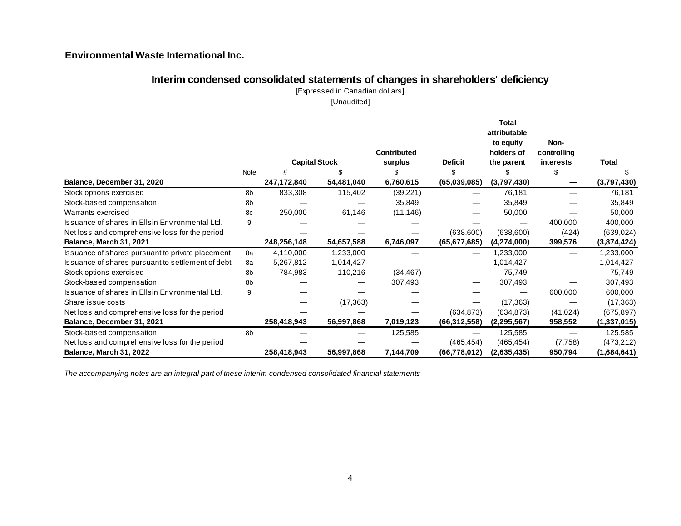## **Interim condensed consolidated statements of changes in shareholders' deficiency**

[Expressed in Canadian dollars]

[Unaudited]

|                                                   |      |                      |            |                    |                | Total<br>attributable   |                     |               |
|---------------------------------------------------|------|----------------------|------------|--------------------|----------------|-------------------------|---------------------|---------------|
|                                                   |      |                      |            | <b>Contributed</b> |                | to equity<br>holders of | Non-<br>controlling |               |
|                                                   |      | <b>Capital Stock</b> |            | surplus            | <b>Deficit</b> | the parent              | <b>interests</b>    | Total         |
|                                                   | Note | #                    |            |                    |                |                         |                     |               |
| Balance, December 31, 2020                        |      | 247,172,840          | 54,481,040 | 6,760,615          | (65,039,085)   | (3,797,430)             |                     | (3,797,430)   |
| Stock options exercised                           | 8b   | 833,308              | 115,402    | (39, 221)          |                | 76,181                  |                     | 76,181        |
| Stock-based compensation                          | 8b   |                      |            | 35,849             |                | 35,849                  |                     | 35,849        |
| Warrants exercised                                | 8c   | 250,000              | 61,146     | (11, 146)          |                | 50,000                  |                     | 50,000        |
| Issuance of shares in Ellsin Environmental Ltd.   | 9    |                      |            |                    |                |                         | 400,000             | 400,000       |
| Net loss and comprehensive loss for the period    |      |                      |            |                    | (638, 600)     | (638, 600)              | (424)               | (639, 024)    |
| Balance, March 31, 2021                           |      | 248,256,148          | 54,657,588 | 6,746,097          | (65, 677, 685) | (4, 274, 000)           | 399,576             | (3,874,424)   |
| Issuance of shares pursuant to private placement  | 8a   | 4,110,000            | 1,233,000  |                    |                | ,233,000                |                     | 1,233,000     |
| Issuance of shares pursuant to settlement of debt | 8a   | 5,267,812            | 1,014,427  |                    |                | 1,014,427               |                     | 1,014,427     |
| Stock options exercised                           | 8b   | 784,983              | 110,216    | (34, 467)          |                | 75,749                  |                     | 75,749        |
| Stock-based compensation                          | 8b   |                      |            | 307,493            |                | 307,493                 |                     | 307,493       |
| Issuance of shares in Ellsin Environmental Ltd.   | 9    |                      |            |                    |                |                         | 600,000             | 600,000       |
| Share issue costs                                 |      |                      | (17, 363)  |                    |                | (17, 363)               |                     | (17, 363)     |
| Net loss and comprehensive loss for the period    |      |                      |            |                    | (634, 873)     | (634, 873)              | (41, 024)           | (675, 897)    |
| Balance, December 31, 2021                        |      | 258,418,943          | 56,997,868 | 7,019,123          | (66, 312, 558) | (2,295,567)             | 958,552             | (1, 337, 015) |
| Stock-based compensation                          | 8b   |                      |            | 125,585            |                | 125,585                 |                     | 125,585       |
| Net loss and comprehensive loss for the period    |      |                      |            |                    | (465, 454)     | (465, 454)              | (7,758)             | (473, 212)    |
| <b>Balance, March 31, 2022</b>                    |      | 258,418,943          | 56,997,868 | 7,144,709          | (66, 778, 012) | (2,635,435)             | 950,794             | (1,684,641)   |

*The accompanying notes are an integral part of these interim condensed consolidated financial statements*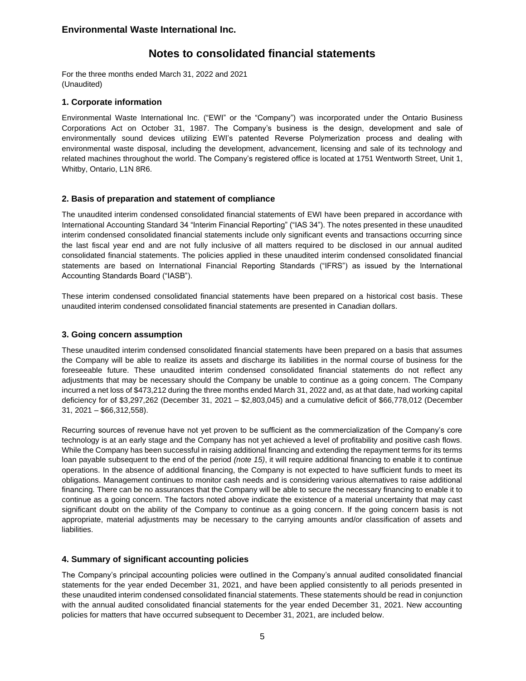# **Notes to consolidated financial statements**

For the three months ended March 31, 2022 and 2021 (Unaudited)

## **1. Corporate information**

Environmental Waste International Inc. ("EWI" or the "Company") was incorporated under the Ontario Business Corporations Act on October 31, 1987. The Company's business is the design, development and sale of environmentally sound devices utilizing EWI's patented Reverse Polymerization process and dealing with environmental waste disposal, including the development, advancement, licensing and sale of its technology and related machines throughout the world. The Company's registered office is located at 1751 Wentworth Street, Unit 1, Whitby, Ontario, L1N 8R6.

## **2. Basis of preparation and statement of compliance**

The unaudited interim condensed consolidated financial statements of EWI have been prepared in accordance with International Accounting Standard 34 "Interim Financial Reporting" ("IAS 34"). The notes presented in these unaudited interim condensed consolidated financial statements include only significant events and transactions occurring since the last fiscal year end and are not fully inclusive of all matters required to be disclosed in our annual audited consolidated financial statements. The policies applied in these unaudited interim condensed consolidated financial statements are based on International Financial Reporting Standards ("IFRS") as issued by the International Accounting Standards Board ("IASB").

These interim condensed consolidated financial statements have been prepared on a historical cost basis. These unaudited interim condensed consolidated financial statements are presented in Canadian dollars.

## **3. Going concern assumption**

These unaudited interim condensed consolidated financial statements have been prepared on a basis that assumes the Company will be able to realize its assets and discharge its liabilities in the normal course of business for the foreseeable future. These unaudited interim condensed consolidated financial statements do not reflect any adjustments that may be necessary should the Company be unable to continue as a going concern. The Company incurred a net loss of \$473,212 during the three months ended March 31, 2022 and, as at that date, had working capital deficiency for of \$3,297,262 (December 31, 2021 – \$2,803,045) and a cumulative deficit of \$66,778,012 (December 31, 2021 – \$66,312,558).

Recurring sources of revenue have not yet proven to be sufficient as the commercialization of the Company's core technology is at an early stage and the Company has not yet achieved a level of profitability and positive cash flows. While the Company has been successful in raising additional financing and extending the repayment terms for its terms loan payable subsequent to the end of the period *(note 15)*, it will require additional financing to enable it to continue operations. In the absence of additional financing, the Company is not expected to have sufficient funds to meet its obligations. Management continues to monitor cash needs and is considering various alternatives to raise additional financing*.* There can be no assurances that the Company will be able to secure the necessary financing to enable it to continue as a going concern. The factors noted above indicate the existence of a material uncertainty that may cast significant doubt on the ability of the Company to continue as a going concern. If the going concern basis is not appropriate, material adjustments may be necessary to the carrying amounts and/or classification of assets and liabilities.

## **4. Summary of significant accounting policies**

The Company's principal accounting policies were outlined in the Company's annual audited consolidated financial statements for the year ended December 31, 2021, and have been applied consistently to all periods presented in these unaudited interim condensed consolidated financial statements. These statements should be read in conjunction with the annual audited consolidated financial statements for the year ended December 31, 2021. New accounting policies for matters that have occurred subsequent to December 31, 2021, are included below.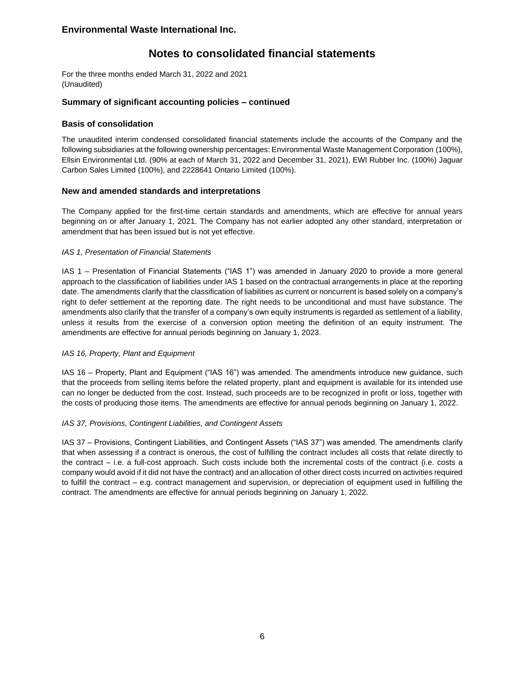# **Notes to consolidated financial statements**

For the three months ended March 31, 2022 and 2021 (Unaudited)

#### **Summary of significant accounting policies – continued**

#### **Basis of consolidation**

The unaudited interim condensed consolidated financial statements include the accounts of the Company and the following subsidiaries at the following ownership percentages: Environmental Waste Management Corporation (100%), Ellsin Environmental Ltd. (90% at each of March 31, 2022 and December 31, 2021), EWI Rubber Inc. (100%) Jaguar Carbon Sales Limited (100%), and 2228641 Ontario Limited (100%).

#### **New and amended standards and interpretations**

The Company applied for the first-time certain standards and amendments, which are effective for annual years beginning on or after January 1, 2021. The Company has not earlier adopted any other standard, interpretation or amendment that has been issued but is not yet effective.

#### *IAS 1, Presentation of Financial Statements*

IAS 1 – Presentation of Financial Statements ("IAS 1") was amended in January 2020 to provide a more general approach to the classification of liabilities under IAS 1 based on the contractual arrangements in place at the reporting date. The amendments clarify that the classification of liabilities as current or noncurrent is based solely on a company's right to defer settlement at the reporting date. The right needs to be unconditional and must have substance. The amendments also clarify that the transfer of a company's own equity instruments is regarded as settlement of a liability, unless it results from the exercise of a conversion option meeting the definition of an equity instrument. The amendments are effective for annual periods beginning on January 1, 2023.

#### *IAS 16, Property, Plant and Equipment*

IAS 16 – Property, Plant and Equipment ("IAS 16") was amended. The amendments introduce new guidance, such that the proceeds from selling items before the related property, plant and equipment is available for its intended use can no longer be deducted from the cost. Instead, such proceeds are to be recognized in profit or loss, together with the costs of producing those items. The amendments are effective for annual periods beginning on January 1, 2022.

#### *IAS 37, Provisions, Contingent Liabilities, and Contingent Assets*

IAS 37 – Provisions, Contingent Liabilities, and Contingent Assets ("IAS 37") was amended. The amendments clarify that when assessing if a contract is onerous, the cost of fulfilling the contract includes all costs that relate directly to the contract – i.e. a full-cost approach. Such costs include both the incremental costs of the contract (i.e. costs a company would avoid if it did not have the contract) and an allocation of other direct costs incurred on activities required to fulfill the contract – e.g. contract management and supervision, or depreciation of equipment used in fulfilling the contract. The amendments are effective for annual periods beginning on January 1, 2022.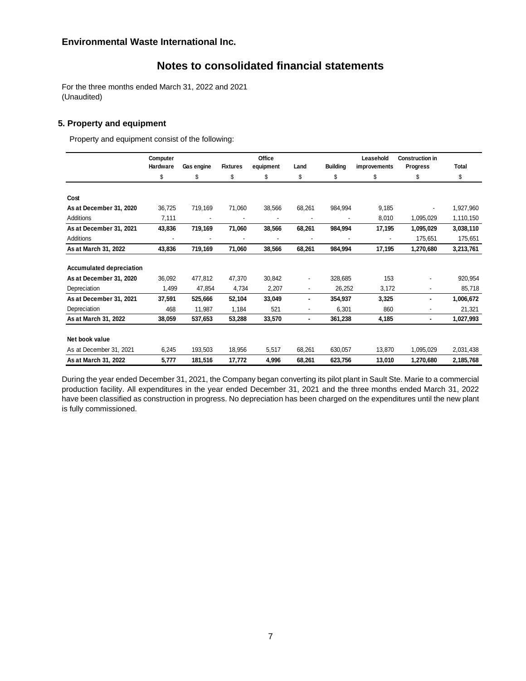# **Notes to consolidated financial statements**

For the three months ended March 31, 2022 and 2021 (Unaudited)

## **5. Property and equipment**

Property and equipment consist of the following:

|                                 | Computer       |            |                 | Office    |                |                 | Leasehold    | <b>Construction in</b> |           |
|---------------------------------|----------------|------------|-----------------|-----------|----------------|-----------------|--------------|------------------------|-----------|
|                                 | Hardware       | Gas engine | <b>Fixtures</b> | equipment | Land           | <b>Building</b> | improvements | <b>Progress</b>        | Total     |
|                                 | \$             | \$         | \$              | \$        | \$             | \$              | \$           | \$                     | \$        |
|                                 |                |            |                 |           |                |                 |              |                        |           |
| Cost                            |                |            |                 |           |                |                 |              |                        |           |
| As at December 31, 2020         | 36,725         | 719,169    | 71,060          | 38,566    | 68,261         | 984,994         | 9,185        |                        | 1,927,960 |
| <b>Additions</b>                | 7,111          |            |                 |           |                |                 | 8,010        | 1,095,029              | 1,110,150 |
| As at December 31, 2021         | 43,836         | 719,169    | 71,060          | 38,566    | 68,261         | 984,994         | 17,195       | 1,095,029              | 3,038,110 |
| <b>Additions</b>                | $\blacksquare$ |            |                 |           |                |                 |              | 175,651                | 175,651   |
| As at March 31, 2022            | 43,836         | 719,169    | 71,060          | 38,566    | 68,261         | 984,994         | 17,195       | 1,270,680              | 3,213,761 |
|                                 |                |            |                 |           |                |                 |              |                        |           |
| <b>Accumulated depreciation</b> |                |            |                 |           |                |                 |              |                        |           |
| As at December 31, 2020         | 36,092         | 477,812    | 47,370          | 30,842    | $\blacksquare$ | 328,685         | 153          |                        | 920,954   |
| Depreciation                    | 1,499          | 47,854     | 4,734           | 2,207     |                | 26,252          | 3,172        |                        | 85,718    |
| As at December 31, 2021         | 37,591         | 525,666    | 52,104          | 33,049    |                | 354,937         | 3,325        |                        | 1,006,672 |
| Depreciation                    | 468            | 11,987     | 1,184           | 521       |                | 6,301           | 860          |                        | 21,321    |
| As at March 31, 2022            | 38,059         | 537,653    | 53,288          | 33,570    | ٠              | 361,238         | 4,185        | $\blacksquare$         | 1,027,993 |
| Net book value                  |                |            |                 |           |                |                 |              |                        |           |
| As at December 31, 2021         | 6,245          | 193,503    | 18,956          | 5,517     | 68,261         | 630,057         | 13,870       | 1,095,029              | 2,031,438 |
| As at March 31, 2022            | 5,777          | 181,516    | 17,772          | 4,996     | 68,261         | 623,756         | 13,010       | 1,270,680              | 2,185,768 |

During the year ended December 31, 2021, the Company began converting its pilot plant in Sault Ste. Marie to a commercial production facility. All expenditures in the year ended December 31, 2021 and the three months ended March 31, 2022 have been classified as construction in progress. No depreciation has been charged on the expenditures until the new plant is fully commissioned.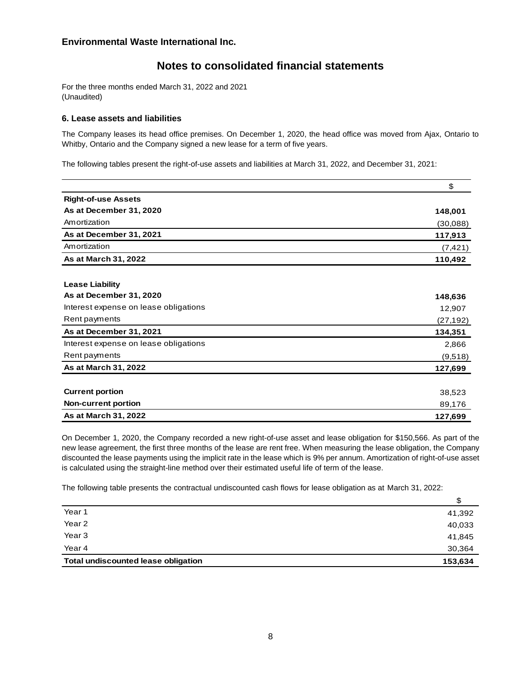# **Notes to consolidated financial statements**

For the three months ended March 31, 2022 and 2021 (Unaudited)

#### **6. Lease assets and liabilities**

The Company leases its head office premises. On December 1, 2020, the head office was moved from Ajax, Ontario to Whitby, Ontario and the Company signed a new lease for a term of five years.

The following tables present the right-of-use assets and liabilities at March 31, 2022, and December 31, 2021:

|                                       | \$        |
|---------------------------------------|-----------|
| <b>Right-of-use Assets</b>            |           |
| As at December 31, 2020               | 148,001   |
| Amortization                          | (30,088)  |
| As at December 31, 2021               | 117,913   |
| Amortization                          | (7, 421)  |
| As at March 31, 2022                  | 110,492   |
| <b>Lease Liability</b>                |           |
| As at December 31, 2020               | 148,636   |
| Interest expense on lease obligations | 12,907    |
| Rent payments                         | (27, 192) |
| As at December 31, 2021               | 134,351   |
| Interest expense on lease obligations | 2,866     |
| Rent payments                         | (9,518)   |
| As at March 31, 2022                  | 127,699   |
| <b>Current portion</b>                | 38,523    |
| <b>Non-current portion</b>            | 89,176    |
| As at March 31, 2022                  | 127,699   |

On December 1, 2020, the Company recorded a new right-of-use asset and lease obligation for \$150,566. As part of the new lease agreement, the first three months of the lease are rent free. When measuring the lease obligation, the Company discounted the lease payments using the implicit rate in the lease which is 9% per annum. Amortization of right-of-use asset is calculated using the straight-line method over their estimated useful life of term of the lease.

The following table presents the contractual undiscounted cash flows for lease obligation as at March 31, 2022:

| Year 1                                     | 41,392  |
|--------------------------------------------|---------|
| Year 2                                     | 40,033  |
| Year <sub>3</sub>                          | 41,845  |
| Year 4                                     | 30,364  |
| <b>Total undiscounted lease obligation</b> | 153,634 |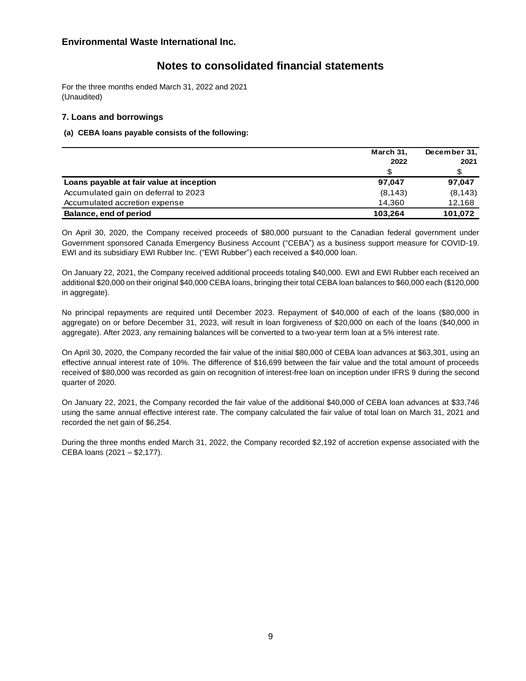# **Notes to consolidated financial statements**

For the three months ended March 31, 2022 and 2021 (Unaudited)

## **7. Loans and borrowings**

## **(a) CEBA loans payable consists of the following:**

|                                          | March 31, | December 31, |  |
|------------------------------------------|-----------|--------------|--|
|                                          | 2022      | 2021         |  |
|                                          | S         |              |  |
| Loans payable at fair value at inception | 97.047    | 97.047       |  |
| Accumulated gain on deferral to 2023     | (8, 143)  | (8, 143)     |  |
| Accumulated accretion expense            | 14.360    | 12,168       |  |
| Balance, end of period                   | 103,264   | 101,072      |  |

On April 30, 2020, the Company received proceeds of \$80,000 pursuant to the Canadian federal government under Government sponsored Canada Emergency Business Account ("CEBA") as a business support measure for COVID-19. EWI and its subsidiary EWI Rubber Inc. ("EWI Rubber") each received a \$40,000 loan.

On January 22, 2021, the Company received additional proceeds totaling \$40,000. EWI and EWI Rubber each received an additional \$20,000 on their original \$40,000 CEBA loans, bringing their total CEBA loan balances to \$60,000 each (\$120,000 in aggregate)*.*

No principal repayments are required until December 2023. Repayment of \$40,000 of each of the loans (\$80,000 in aggregate) on or before December 31, 2023, will result in loan forgiveness of \$20,000 on each of the loans (\$40,000 in aggregate). After 2023, any remaining balances will be converted to a two-year term loan at a 5% interest rate.

On April 30, 2020, the Company recorded the fair value of the initial \$80,000 of CEBA loan advances at \$63,301, using an effective annual interest rate of 10%. The difference of \$16,699 between the fair value and the total amount of proceeds received of \$80,000 was recorded as gain on recognition of interest-free loan on inception under IFRS 9 during the second quarter of 2020*.*

On January 22, 2021, the Company recorded the fair value of the additional \$40,000 of CEBA loan advances at \$33,746 using the same annual effective interest rate. The company calculated the fair value of total loan on March 31, 2021 and recorded the net gain of \$6,254.

During the three months ended March 31, 2022, the Company recorded \$2,192 of accretion expense associated with the CEBA loans (2021 – \$2,177).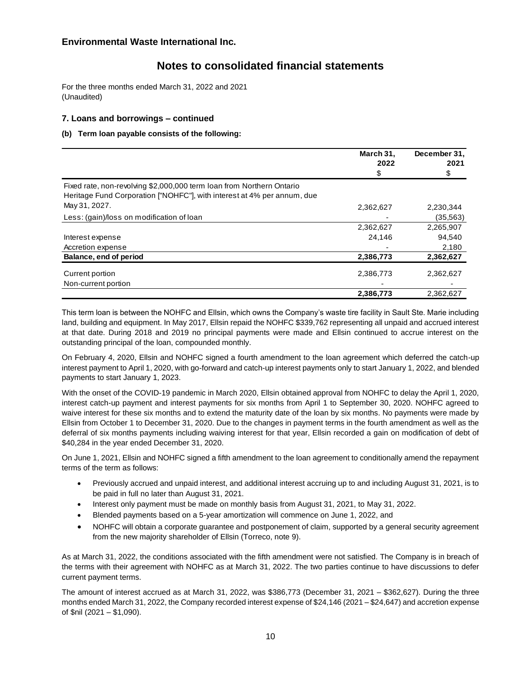# **Notes to consolidated financial statements**

For the three months ended March 31, 2022 and 2021 (Unaudited)

## **7. Loans and borrowings – continued**

#### **(b) Term loan payable consists of the following:**

|                                                                         | March 31,<br>2022<br>\$ | December 31,<br>2021<br>\$ |
|-------------------------------------------------------------------------|-------------------------|----------------------------|
| Fixed rate, non-revolving \$2,000,000 term loan from Northern Ontario   |                         |                            |
| Heritage Fund Corporation ["NOHFC"], with interest at 4% per annum, due |                         |                            |
| May 31, 2027.                                                           | 2,362,627               | 2,230,344                  |
| Less: (gain)/loss on modification of loan                               |                         | (35, 563)                  |
|                                                                         | 2,362,627               | 2,265,907                  |
| Interest expense                                                        | 24,146                  | 94.540                     |
| Accretion expense                                                       |                         | 2,180                      |
| Balance, end of period                                                  | 2,386,773               | 2,362,627                  |
| Current portion                                                         | 2,386,773               | 2,362,627                  |
| Non-current portion                                                     |                         |                            |
|                                                                         | 2,386,773               | 2.362.627                  |

This term loan is between the NOHFC and Ellsin, which owns the Company's waste tire facility in Sault Ste. Marie including land, building and equipment. In May 2017, Ellsin repaid the NOHFC \$339,762 representing all unpaid and accrued interest at that date. During 2018 and 2019 no principal payments were made and Ellsin continued to accrue interest on the outstanding principal of the loan, compounded monthly.

On February 4, 2020, Ellsin and NOHFC signed a fourth amendment to the loan agreement which deferred the catch-up interest payment to April 1, 2020, with go-forward and catch-up interest payments only to start January 1, 2022, and blended payments to start January 1, 2023.

With the onset of the COVID-19 pandemic in March 2020, Ellsin obtained approval from NOHFC to delay the April 1, 2020, interest catch-up payment and interest payments for six months from April 1 to September 30, 2020. NOHFC agreed to waive interest for these six months and to extend the maturity date of the loan by six months. No payments were made by Ellsin from October 1 to December 31, 2020. Due to the changes in payment terms in the fourth amendment as well as the deferral of six months payments including waiving interest for that year, Ellsin recorded a gain on modification of debt of \$40,284 in the year ended December 31, 2020.

On June 1, 2021, Ellsin and NOHFC signed a fifth amendment to the loan agreement to conditionally amend the repayment terms of the term as follows:

- Previously accrued and unpaid interest, and additional interest accruing up to and including August 31, 2021, is to be paid in full no later than August 31, 2021.
- Interest only payment must be made on monthly basis from August 31, 2021, to May 31, 2022.
- Blended payments based on a 5-year amortization will commence on June 1, 2022, and
- NOHFC will obtain a corporate guarantee and postponement of claim, supported by a general security agreement from the new majority shareholder of Ellsin (Torreco, note 9).

As at March 31, 2022, the conditions associated with the fifth amendment were not satisfied. The Company is in breach of the terms with their agreement with NOHFC as at March 31, 2022. The two parties continue to have discussions to defer current payment terms.

The amount of interest accrued as at March 31, 2022, was \$386,773 (December 31, 2021 – \$362,627). During the three months ended March 31, 2022, the Company recorded interest expense of \$24,146 (2021 – \$24,647) and accretion expense of \$nil (2021 – \$1,090).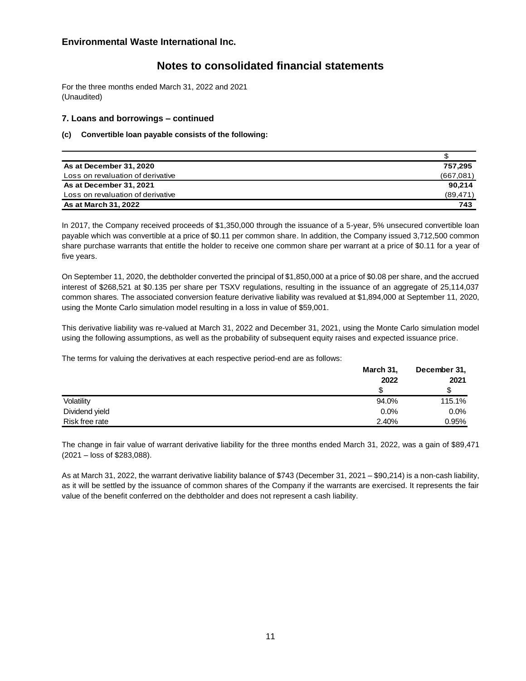# **Notes to consolidated financial statements**

For the three months ended March 31, 2022 and 2021 (Unaudited)

## **7. Loans and borrowings – continued**

#### **(c) Convertible loan payable consists of the following:**

| As at December 31, 2020           | 757.295   |
|-----------------------------------|-----------|
| Loss on revaluation of derivative | (667,081) |
| As at December 31, 2021           | 90.214    |
| Loss on revaluation of derivative | (89, 471) |
| <b>As at March 31, 2022</b>       | 743       |

In 2017, the Company received proceeds of \$1,350,000 through the issuance of a 5-year, 5% unsecured convertible loan payable which was convertible at a price of \$0.11 per common share. In addition, the Company issued 3,712,500 common share purchase warrants that entitle the holder to receive one common share per warrant at a price of \$0.11 for a year of five years.

On September 11, 2020, the debtholder converted the principal of \$1,850,000 at a price of \$0.08 per share, and the accrued interest of \$268,521 at \$0.135 per share per TSXV regulations, resulting in the issuance of an aggregate of 25,114,037 common shares*.* The associated conversion feature derivative liability was revalued at \$1,894,000 at September 11, 2020, using the Monte Carlo simulation model resulting in a loss in value of \$59,001.

This derivative liability was re-valued at March 31, 2022 and December 31, 2021, using the Monte Carlo simulation model using the following assumptions, as well as the probability of subsequent equity raises and expected issuance price.

The terms for valuing the derivatives at each respective period-end are as follows:

|                | March 31, | December 31, |  |
|----------------|-----------|--------------|--|
|                | 2022      | 2021         |  |
|                | S         |              |  |
| Volatility     | 94.0%     | 115.1%       |  |
| Dividend yield | 0.0%      | $0.0\%$      |  |
| Risk free rate | 2.40%     | 0.95%        |  |

The change in fair value of warrant derivative liability for the three months ended March 31, 2022, was a gain of \$89,471 (2021 – loss of \$283,088).

As at March 31, 2022, the warrant derivative liability balance of \$743 (December 31, 2021 – \$90,214) is a non-cash liability, as it will be settled by the issuance of common shares of the Company if the warrants are exercised. It represents the fair value of the benefit conferred on the debtholder and does not represent a cash liability.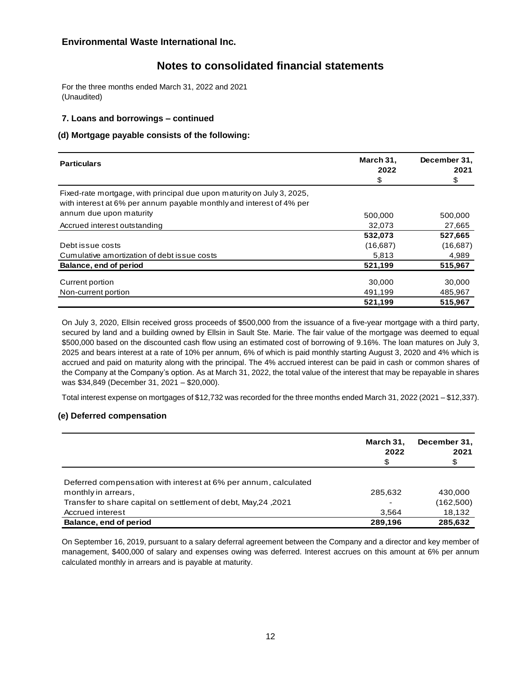# **Notes to consolidated financial statements**

For the three months ended March 31, 2022 and 2021 (Unaudited)

## **7. Loans and borrowings – continued**

## **(d) Mortgage payable consists of the following:**

| <b>Particulars</b>                                                                                                                             | March 31,<br>2022<br>\$ | December 31,<br>2021<br>\$ |
|------------------------------------------------------------------------------------------------------------------------------------------------|-------------------------|----------------------------|
| Fixed-rate mortgage, with principal due upon maturity on July 3, 2025,<br>with interest at 6% per annum payable monthly and interest of 4% per |                         |                            |
| annum due upon maturity                                                                                                                        | 500.000                 | 500,000                    |
| Accrued interest outstanding                                                                                                                   | 32.073                  | 27,665                     |
|                                                                                                                                                | 532,073                 | 527,665                    |
| Debt issue costs                                                                                                                               | (16,687)                | (16,687)                   |
| Cumulative amortization of debt issue costs                                                                                                    | 5,813                   | 4,989                      |
| Balance, end of period                                                                                                                         | 521,199                 | 515,967                    |
| Current portion                                                                                                                                | 30,000                  | 30,000                     |
| Non-current portion                                                                                                                            | 491,199                 | 485,967                    |
|                                                                                                                                                | 521,199                 | 515.967                    |

On July 3, 2020, Ellsin received gross proceeds of \$500,000 from the issuance of a five-year mortgage with a third party, secured by land and a building owned by Ellsin in Sault Ste. Marie. The fair value of the mortgage was deemed to equal \$500,000 based on the discounted cash flow using an estimated cost of borrowing of 9.16%. The loan matures on July 3, 2025 and bears interest at a rate of 10% per annum, 6% of which is paid monthly starting August 3, 2020 and 4% which is accrued and paid on maturity along with the principal. The 4% accrued interest can be paid in cash or common shares of the Company at the Company's option. As at March 31, 2022, the total value of the interest that may be repayable in shares was \$34,849 (December 31, 2021 – \$20,000).

Total interest expense on mortgages of \$12,732 was recorded for the three months ended March 31, 2022 (2021 – \$12,337).

## **(e) Deferred compensation**

|                                                                 | March 31,<br>2022<br>\$ | December 31,<br>2021<br>\$ |
|-----------------------------------------------------------------|-------------------------|----------------------------|
| Deferred compensation with interest at 6% per annum, calculated |                         |                            |
| monthly in arrears,                                             | 285,632                 | 430,000                    |
| Transfer to share capital on settlement of debt, May, 24, 2021  |                         | (162,500)                  |
| Accrued interest                                                | 3.564                   | 18,132                     |
| Balance, end of period                                          | 289,196                 | 285,632                    |

On September 16, 2019, pursuant to a salary deferral agreement between the Company and a director and key member of management, \$400,000 of salary and expenses owing was deferred. Interest accrues on this amount at 6% per annum calculated monthly in arrears and is payable at maturity*.*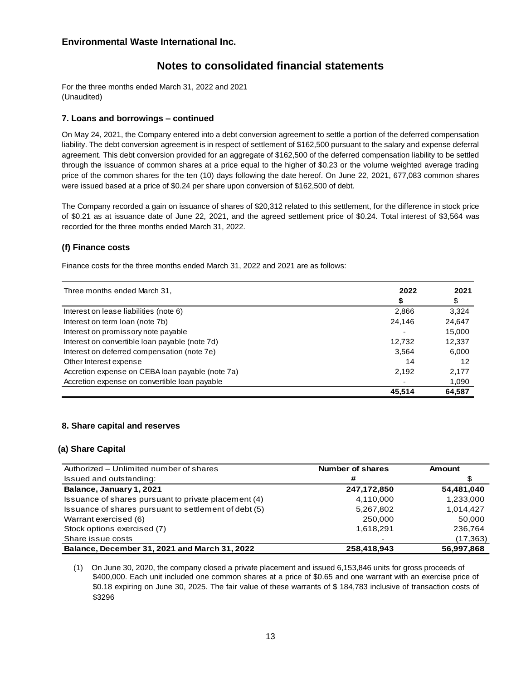# **Notes to consolidated financial statements**

For the three months ended March 31, 2022 and 2021 (Unaudited)

## **7. Loans and borrowings – continued**

On May 24, 2021, the Company entered into a debt conversion agreement to settle a portion of the deferred compensation liability. The debt conversion agreement is in respect of settlement of \$162,500 pursuant to the salary and expense deferral agreement. This debt conversion provided for an aggregate of \$162,500 of the deferred compensation liability to be settled through the issuance of common shares at a price equal to the higher of \$0.23 or the volume weighted average trading price of the common shares for the ten (10) days following the date hereof. On June 22, 2021, 677,083 common shares were issued based at a price of \$0.24 per share upon conversion of \$162,500 of debt.

The Company recorded a gain on issuance of shares of \$20,312 related to this settlement, for the difference in stock price of \$0.21 as at issuance date of June 22, 2021, and the agreed settlement price of \$0.24. Total interest of \$3,564 was recorded for the three months ended March 31, 2022.

## **(f) Finance costs**

Finance costs for the three months ended March 31, 2022 and 2021 are as follows:

| Three months ended March 31,                     | 2022   | 2021   |  |
|--------------------------------------------------|--------|--------|--|
|                                                  |        | \$     |  |
| Interest on lease liabilities (note 6)           | 2,866  | 3,324  |  |
| Interest on term loan (note 7b)                  | 24,146 | 24,647 |  |
| Interest on promissory note payable              |        | 15,000 |  |
| Interest on convertible loan payable (note 7d)   | 12.732 | 12,337 |  |
| Interest on deferred compensation (note 7e)      | 3,564  | 6,000  |  |
| Other Interest expense                           | 14     | 12     |  |
| Accretion expense on CEBA loan payable (note 7a) | 2,192  | 2,177  |  |
| Accretion expense on convertible loan payable    |        | 1,090  |  |
|                                                  | 45,514 | 64,587 |  |

## **8. Share capital and reserves**

## **(a) Share Capital**

| a) Share Capital                                      |                  |            |  |  |
|-------------------------------------------------------|------------------|------------|--|--|
| Authorized – Unlimited number of shares               | Number of shares | Amount     |  |  |
| Issued and outstanding:                               | #                |            |  |  |
| Balance, January 1, 2021                              | 247,172,850      | 54,481,040 |  |  |
| Issuance of shares pursuant to private placement (4)  | 4,110,000        | 1,233,000  |  |  |
| Issuance of shares pursuant to settlement of debt (5) | 5,267,802        | 1.014.427  |  |  |
| Warrant exercised (6)                                 | 250,000          | 50,000     |  |  |
| Stock options exercised (7)                           | 1,618,291        | 236.764    |  |  |
| Share issue costs                                     |                  | (17, 363)  |  |  |
| Balance, December 31, 2021 and March 31, 2022         | 258.418.943      | 56.997.868 |  |  |

(1) On June 30, 2020, the company closed a private placement and issued 6,153,846 units for gross proceeds of \$400,000. Each unit included one common shares at a price of \$0.65 and one warrant with an exercise price of \$0.18 expiring on June 30, 2025. The fair value of these warrants of \$ 184,783 inclusive of transaction costs of \$3296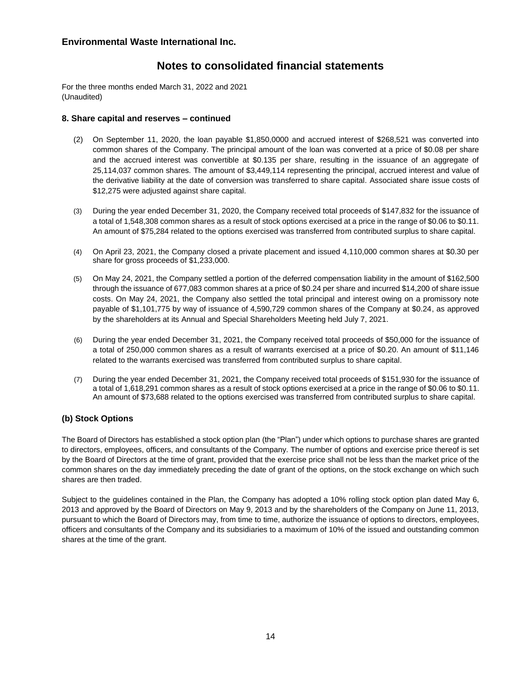# **Notes to consolidated financial statements**

For the three months ended March 31, 2022 and 2021 (Unaudited)

## **8. Share capital and reserves – continued**

- (2) On September 11, 2020, the loan payable \$1,850,0000 and accrued interest of \$268,521 was converted into common shares of the Company. The principal amount of the loan was converted at a price of \$0.08 per share and the accrued interest was convertible at \$0.135 per share, resulting in the issuance of an aggregate of 25,114,037 common shares*.* The amount of \$3,449,114 representing the principal, accrued interest and value of the derivative liability at the date of conversion was transferred to share capital*.* Associated share issue costs of \$12,275 were adjusted against share capital.
- (3) During the year ended December 31, 2020, the Company received total proceeds of \$147,832 for the issuance of a total of 1,548,308 common shares as a result of stock options exercised at a price in the range of \$0.06 to \$0.11. An amount of \$75,284 related to the options exercised was transferred from contributed surplus to share capital.
- (4) On April 23, 2021, the Company closed a private placement and issued 4,110,000 common shares at \$0.30 per share for gross proceeds of \$1,233,000.
- (5) On May 24, 2021, the Company settled a portion of the deferred compensation liability in the amount of \$162,500 through the issuance of 677,083 common shares at a price of \$0.24 per share and incurred \$14,200 of share issue costs. On May 24, 2021, the Company also settled the total principal and interest owing on a promissory note payable of \$1,101,775 by way of issuance of 4,590,729 common shares of the Company at \$0.24, as approved by the shareholders at its Annual and Special Shareholders Meeting held July 7, 2021.
- (6) During the year ended December 31, 2021, the Company received total proceeds of \$50,000 for the issuance of a total of 250,000 common shares as a result of warrants exercised at a price of \$0.20. An amount of \$11,146 related to the warrants exercised was transferred from contributed surplus to share capital.
- (7) During the year ended December 31, 2021, the Company received total proceeds of \$151,930 for the issuance of a total of 1,618,291 common shares as a result of stock options exercised at a price in the range of \$0.06 to \$0.11. An amount of \$73,688 related to the options exercised was transferred from contributed surplus to share capital.

## **(b) Stock Options**

The Board of Directors has established a stock option plan (the "Plan") under which options to purchase shares are granted to directors, employees, officers, and consultants of the Company. The number of options and exercise price thereof is set by the Board of Directors at the time of grant, provided that the exercise price shall not be less than the market price of the common shares on the day immediately preceding the date of grant of the options, on the stock exchange on which such shares are then traded.

Subject to the guidelines contained in the Plan, the Company has adopted a 10% rolling stock option plan dated May 6, 2013 and approved by the Board of Directors on May 9, 2013 and by the shareholders of the Company on June 11, 2013, pursuant to which the Board of Directors may, from time to time, authorize the issuance of options to directors, employees, officers and consultants of the Company and its subsidiaries to a maximum of 10% of the issued and outstanding common shares at the time of the grant.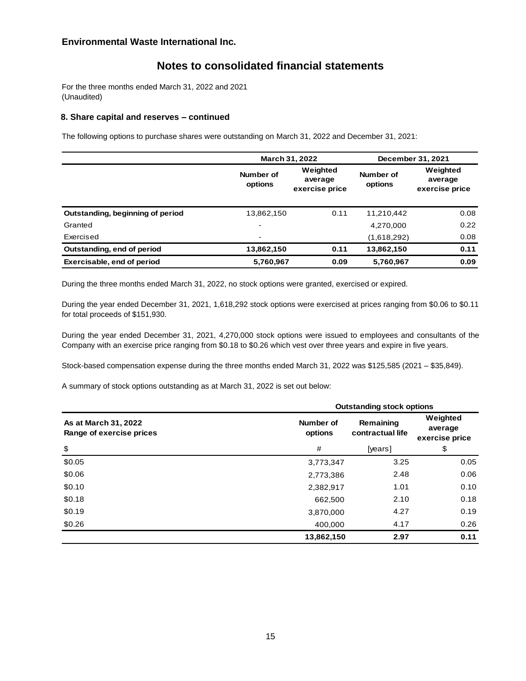# **Notes to consolidated financial statements**

For the three months ended March 31, 2022 and 2021 (Unaudited)

#### **8. Share capital and reserves – continued**

The following options to purchase shares were outstanding on March 31, 2022 and December 31, 2021:

|                                  | <b>March 31, 2022</b>    |                                       | December 31, 2021    |                                       |
|----------------------------------|--------------------------|---------------------------------------|----------------------|---------------------------------------|
|                                  | Number of<br>options     | Weighted<br>average<br>exercise price | Number of<br>options | Weighted<br>average<br>exercise price |
| Outstanding, beginning of period | 13,862,150               | 0.11                                  | 11,210,442           | 0.08                                  |
| Granted                          | $\overline{\phantom{0}}$ |                                       | 4,270,000            | 0.22                                  |
| Exercised                        | $\blacksquare$           |                                       | (1,618,292)          | 0.08                                  |
| Outstanding, end of period       | 13,862,150               | 0.11                                  | 13,862,150           | 0.11                                  |
| Exercisable, end of period       | 5,760,967                | 0.09                                  | 5,760,967            | 0.09                                  |

During the three months ended March 31, 2022, no stock options were granted, exercised or expired.

During the year ended December 31, 2021, 1,618,292 stock options were exercised at prices ranging from \$0.06 to \$0.11 for total proceeds of \$151,930.

During the year ended December 31, 2021, 4,270,000 stock options were issued to employees and consultants of the Company with an exercise price ranging from \$0.18 to \$0.26 which vest over three years and expire in five years.

Stock-based compensation expense during the three months ended March 31, 2022 was \$125,585 (2021 – \$35,849).

A summary of stock options outstanding as at March 31, 2022 is set out below:

|                                                  |                      | <b>Outstanding stock options</b> |                                       |  |  |
|--------------------------------------------------|----------------------|----------------------------------|---------------------------------------|--|--|
| As at March 31, 2022<br>Range of exercise prices | Number of<br>options | Remaining<br>contractual life    | Weighted<br>average<br>exercise price |  |  |
| \$                                               | #                    | [years]                          | \$                                    |  |  |
| \$0.05                                           | 3,773,347            | 3.25                             | 0.05                                  |  |  |
| \$0.06                                           | 2,773,386            | 2.48                             | 0.06                                  |  |  |
| \$0.10                                           | 2,382,917            | 1.01                             | 0.10                                  |  |  |
| \$0.18                                           | 662,500              | 2.10                             | 0.18                                  |  |  |
| \$0.19                                           | 3,870,000            | 4.27                             | 0.19                                  |  |  |
| \$0.26                                           | 400,000              | 4.17                             | 0.26                                  |  |  |
|                                                  | 13,862,150           | 2.97                             | 0.11                                  |  |  |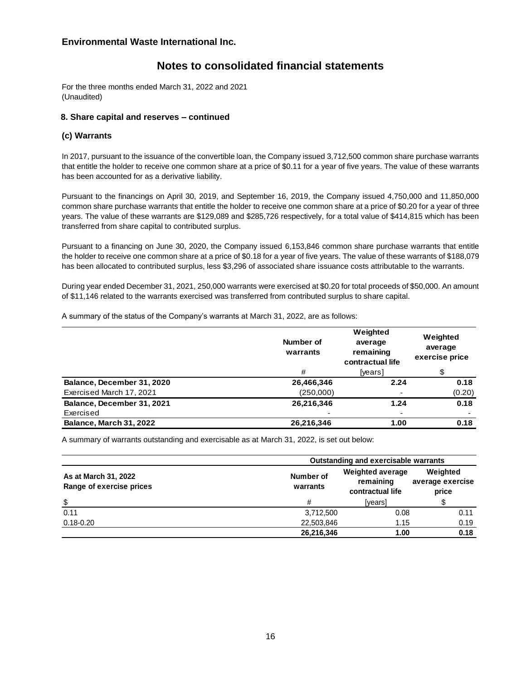# **Notes to consolidated financial statements**

For the three months ended March 31, 2022 and 2021 (Unaudited)

## **8. Share capital and reserves – continued**

## **(c) Warrants**

In 2017, pursuant to the issuance of the convertible loan, the Company issued 3,712,500 common share purchase warrants that entitle the holder to receive one common share at a price of \$0.11 for a year of five years. The value of these warrants has been accounted for as a derivative liability.

Pursuant to the financings on April 30, 2019, and September 16, 2019, the Company issued 4,750,000 and 11,850,000 common share purchase warrants that entitle the holder to receive one common share at a price of \$0.20 for a year of three years. The value of these warrants are \$129,089 and \$285,726 respectively, for a total value of \$414,815 which has been transferred from share capital to contributed surplus.

Pursuant to a financing on June 30, 2020, the Company issued 6,153,846 common share purchase warrants that entitle the holder to receive one common share at a price of \$0.18 for a year of five years. The value of these warrants of \$188,079 has been allocated to contributed surplus, less \$3,296 of associated share issuance costs attributable to the warrants.

During year ended December 31, 2021, 250,000 warrants were exercised at \$0.20 for total proceeds of \$50,000. An amount of \$11,146 related to the warrants exercised was transferred from contributed surplus to share capital.

A summary of the status of the Company's warrants at March 31, 2022, are as follows:

|                            | Number of<br>warrants | Weighted<br>average<br>remaining<br>contractual life | Weighted<br>average<br>exercise price |
|----------------------------|-----------------------|------------------------------------------------------|---------------------------------------|
|                            | #                     | [years]                                              | \$                                    |
| Balance, December 31, 2020 | 26,466,346            | 2.24                                                 | 0.18                                  |
| Exercised March 17, 2021   | (250,000)             |                                                      | (0.20)                                |
| Balance, December 31, 2021 | 26,216,346            | 1.24                                                 | 0.18                                  |
| Exercised                  |                       |                                                      | $\overline{\phantom{a}}$              |
| Balance, March 31, 2022    | 26,216,346            | 1.00                                                 | 0.18                                  |

A summary of warrants outstanding and exercisable as at March 31, 2022, is set out below:

|                                                  |                       | <b>Outstanding and exercisable warrants</b>              |                                       |  |  |
|--------------------------------------------------|-----------------------|----------------------------------------------------------|---------------------------------------|--|--|
| As at March 31, 2022<br>Range of exercise prices | Number of<br>warrants | <b>Weighted average</b><br>remaining<br>contractual life | Weighted<br>average exercise<br>price |  |  |
| \$                                               | #                     |                                                          |                                       |  |  |
| 0.11                                             | 3,712,500             | 0.08                                                     |                                       |  |  |
| $0.18 - 0.20$                                    | 22,503,846            | 1.15                                                     | 0.19                                  |  |  |
|                                                  | 26,216,346<br>1.00    |                                                          | 0.18                                  |  |  |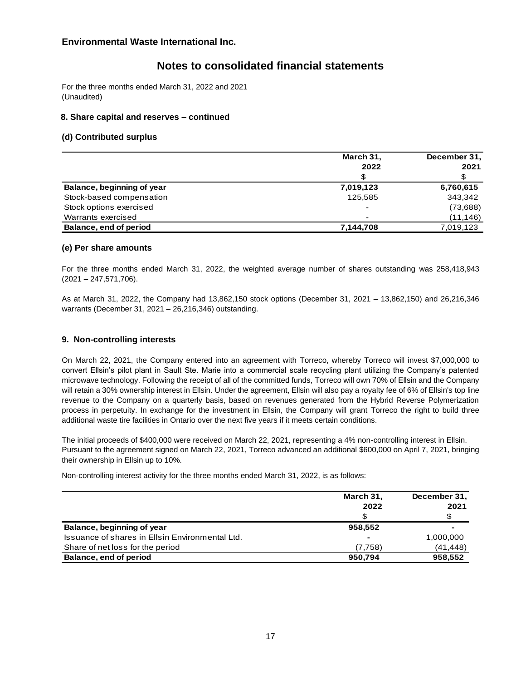# **Notes to consolidated financial statements**

For the three months ended March 31, 2022 and 2021 (Unaudited)

## **8. Share capital and reserves – continued**

## **(d) Contributed surplus**

|                            | March 31,<br>2022        | December 31,<br>2021 |
|----------------------------|--------------------------|----------------------|
|                            | £.                       |                      |
| Balance, beginning of year | 7,019,123                | 6,760,615            |
| Stock-based compensation   | 125.585                  | 343,342              |
| Stock options exercised    | $\overline{\phantom{0}}$ | (73,688)             |
| Warrants exercised         | -                        | (11, 146)            |
| Balance, end of period     | 7,144,708                | 7,019,123            |

## **(e) Per share amounts**

For the three months ended March 31, 2022, the weighted average number of shares outstanding was 258,418,943 (2021 – 247,571,706).

As at March 31, 2022, the Company had 13,862,150 stock options (December 31, 2021 – 13,862,150) and 26,216,346 warrants (December 31, 2021 – 26,216,346) outstanding.

#### **9. Non-controlling interests**

On March 22, 2021, the Company entered into an agreement with Torreco, whereby Torreco will invest \$7,000,000 to convert Ellsin's pilot plant in Sault Ste. Marie into a commercial scale recycling plant utilizing the Company's patented microwave technology. Following the receipt of all of the committed funds, Torreco will own 70% of Ellsin and the Company will retain a 30% ownership interest in Ellsin. Under the agreement, Ellsin will also pay a royalty fee of 6% of Ellsin's top line revenue to the Company on a quarterly basis, based on revenues generated from the Hybrid Reverse Polymerization process in perpetuity. In exchange for the investment in Ellsin, the Company will grant Torreco the right to build three additional waste tire facilities in Ontario over the next five years if it meets certain conditions.

The initial proceeds of \$400,000 were received on March 22, 2021, representing a 4% non-controlling interest in Ellsin. Pursuant to the agreement signed on March 22, 2021, Torreco advanced an additional \$600,000 on April 7, 2021, bringing their ownership in Ellsin up to 10%*.*

Non-controlling interest activity for the three months ended March 31, 2022, is as follows:

|                                                 | March 31,<br>2022<br>\$ | December 31,<br>2021 |
|-------------------------------------------------|-------------------------|----------------------|
| Balance, beginning of year                      | 958,552                 |                      |
| Issuance of shares in Ellsin Environmental Ltd. |                         | 1,000,000            |
| Share of net loss for the period                | (7,758)                 | (41, 448)            |
| Balance, end of period                          | 950,794                 | 958,552              |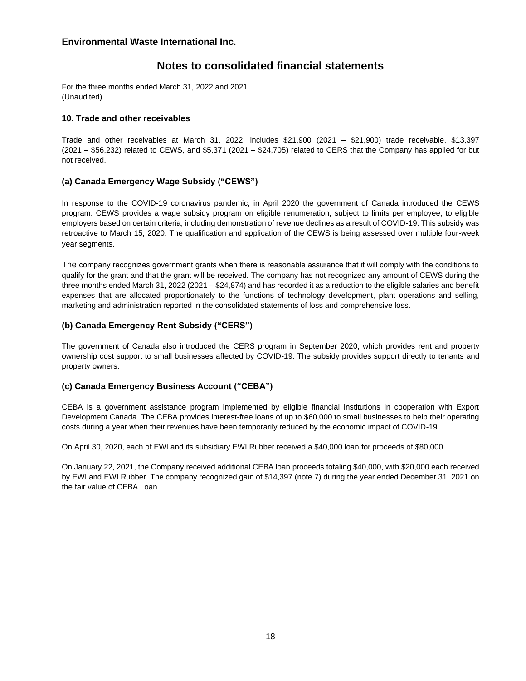# **Notes to consolidated financial statements**

For the three months ended March 31, 2022 and 2021 (Unaudited)

## **10. Trade and other receivables**

Trade and other receivables at March 31, 2022, includes \$21,900 (2021 – \$21,900) trade receivable, \$13,397 (2021 – \$56,232) related to CEWS, and \$5,371 (2021 – \$24,705) related to CERS that the Company has applied for but not received.

## **(a) Canada Emergency Wage Subsidy ("CEWS")**

In response to the COVID-19 coronavirus pandemic, in April 2020 the government of Canada introduced the CEWS program. CEWS provides a wage subsidy program on eligible renumeration, subject to limits per employee, to eligible employers based on certain criteria, including demonstration of revenue declines as a result of COVID-19. This subsidy was retroactive to March 15, 2020. The qualification and application of the CEWS is being assessed over multiple four-week year segments.

The company recognizes government grants when there is reasonable assurance that it will comply with the conditions to qualify for the grant and that the grant will be received. The company has not recognized any amount of CEWS during the three months ended March 31, 2022 (2021 – \$24,874) and has recorded it as a reduction to the eligible salaries and benefit expenses that are allocated proportionately to the functions of technology development, plant operations and selling, marketing and administration reported in the consolidated statements of loss and comprehensive loss*.*

## **(b) Canada Emergency Rent Subsidy ("CERS")**

The government of Canada also introduced the CERS program in September 2020, which provides rent and property ownership cost support to small businesses affected by COVID-19. The subsidy provides support directly to tenants and property owners.

## **(c) Canada Emergency Business Account ("CEBA")**

CEBA is a government assistance program implemented by eligible financial institutions in cooperation with Export Development Canada. The CEBA provides interest-free loans of up to \$60,000 to small businesses to help their operating costs during a year when their revenues have been temporarily reduced by the economic impact of COVID-19.

On April 30, 2020, each of EWI and its subsidiary EWI Rubber received a \$40,000 loan for proceeds of \$80,000.

On January 22, 2021, the Company received additional CEBA loan proceeds totaling \$40,000, with \$20,000 each received by EWI and EWI Rubber. The company recognized gain of \$14,397 (note 7) during the year ended December 31, 2021 on the fair value of CEBA Loan.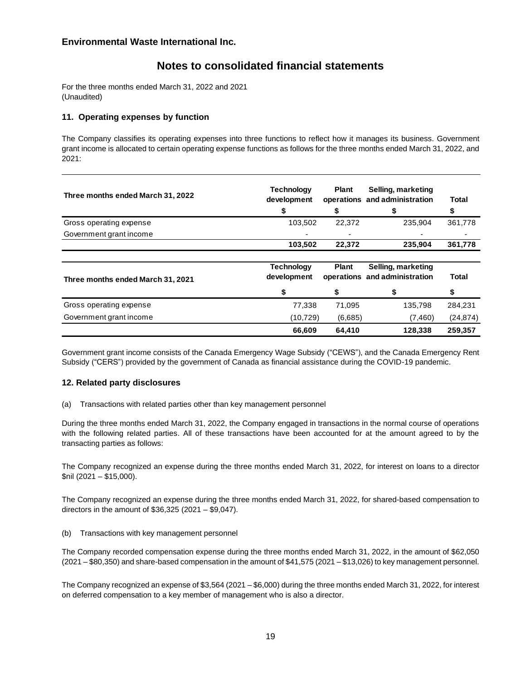# **Notes to consolidated financial statements**

For the three months ended March 31, 2022 and 2021 (Unaudited)

## **11. Operating expenses by function**

The Company classifies its operating expenses into three functions to reflect how it manages its business. Government grant income is allocated to certain operating expense functions as follows for the three months ended March 31, 2022, and 2021:

| Three months ended March 31, 2022 | <b>Technology</b><br>development | <b>Plant</b><br>S | Selling, marketing<br>operations and administration | Total<br>S |
|-----------------------------------|----------------------------------|-------------------|-----------------------------------------------------|------------|
| Gross operating expense           | 103,502                          | 22,372            | 235,904                                             | 361,778    |
| Government grant income           |                                  | $\blacksquare$    |                                                     |            |
|                                   | 103,502                          | 22,372            | 235,904                                             | 361,778    |
| Three months ended March 31, 2021 | <b>Technology</b><br>development | <b>Plant</b>      | Selling, marketing<br>operations and administration | Total      |
|                                   |                                  | S                 |                                                     | S          |
| Gross operating expense           | 77,338                           | 71.095            | 135,798                                             | 284,231    |
| Government grant income           | (10, 729)                        | (6,685)           | (7,460)                                             | (24, 874)  |
|                                   | 66,609                           | 64,410            | 128.338                                             | 259,357    |

Government grant income consists of the Canada Emergency Wage Subsidy ("CEWS"), and the Canada Emergency Rent Subsidy ("CERS") provided by the government of Canada as financial assistance during the COVID-19 pandemic.

## **12. Related party disclosures**

(a) Transactions with related parties other than key management personnel

During the three months ended March 31, 2022, the Company engaged in transactions in the normal course of operations with the following related parties. All of these transactions have been accounted for at the amount agreed to by the transacting parties as follows:

The Company recognized an expense during the three months ended March 31, 2022, for interest on loans to a director \$nil (2021 – \$15,000).

The Company recognized an expense during the three months ended March 31, 2022, for shared-based compensation to directors in the amount of \$36,325 (2021 – \$9,047).

(b) Transactions with key management personnel

The Company recorded compensation expense during the three months ended March 31, 2022, in the amount of \$62,050 (2021 – \$80,350) and share-based compensation in the amount of \$41,575 (2021 – \$13,026) to key management personnel.

The Company recognized an expense of \$3,564 (2021 – \$6,000) during the three months ended March 31, 2022, for interest on deferred compensation to a key member of management who is also a director.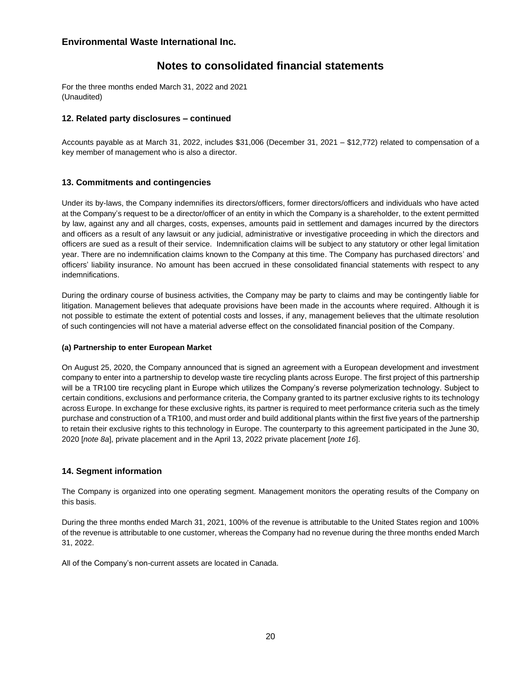# **Notes to consolidated financial statements**

For the three months ended March 31, 2022 and 2021 (Unaudited)

## **12. Related party disclosures – continued**

Accounts payable as at March 31, 2022, includes \$31,006 (December 31, 2021 – \$12,772) related to compensation of a key member of management who is also a director.

## **13. Commitments and contingencies**

Under its by-laws, the Company indemnifies its directors/officers, former directors/officers and individuals who have acted at the Company's request to be a director/officer of an entity in which the Company is a shareholder, to the extent permitted by law, against any and all charges, costs, expenses, amounts paid in settlement and damages incurred by the directors and officers as a result of any lawsuit or any judicial, administrative or investigative proceeding in which the directors and officers are sued as a result of their service. Indemnification claims will be subject to any statutory or other legal limitation year. There are no indemnification claims known to the Company at this time. The Company has purchased directors' and officers' liability insurance. No amount has been accrued in these consolidated financial statements with respect to any indemnifications.

During the ordinary course of business activities, the Company may be party to claims and may be contingently liable for litigation. Management believes that adequate provisions have been made in the accounts where required. Although it is not possible to estimate the extent of potential costs and losses, if any, management believes that the ultimate resolution of such contingencies will not have a material adverse effect on the consolidated financial position of the Company.

## **(a) Partnership to enter European Market**

On August 25, 2020, the Company announced that is signed an agreement with a European development and investment company to enter into a partnership to develop waste tire recycling plants across Europe. The first project of this partnership will be a TR100 tire recycling plant in Europe which utilizes the Company's reverse polymerization technology. Subject to certain conditions, exclusions and performance criteria, the Company granted to its partner exclusive rights to its technology across Europe. In exchange for these exclusive rights, its partner is required to meet performance criteria such as the timely purchase and construction of a TR100, and must order and build additional plants within the first five years of the partnership to retain their exclusive rights to this technology in Europe. The counterparty to this agreement participated in the June 30, 2020 [*note 8a*], private placement and in the April 13, 2022 private placement [*note 16*].

## **14. Segment information**

The Company is organized into one operating segment. Management monitors the operating results of the Company on this basis.

During the three months ended March 31, 2021, 100% of the revenue is attributable to the United States region and 100% of the revenue is attributable to one customer, whereas the Company had no revenue during the three months ended March 31, 2022.

All of the Company's non-current assets are located in Canada.